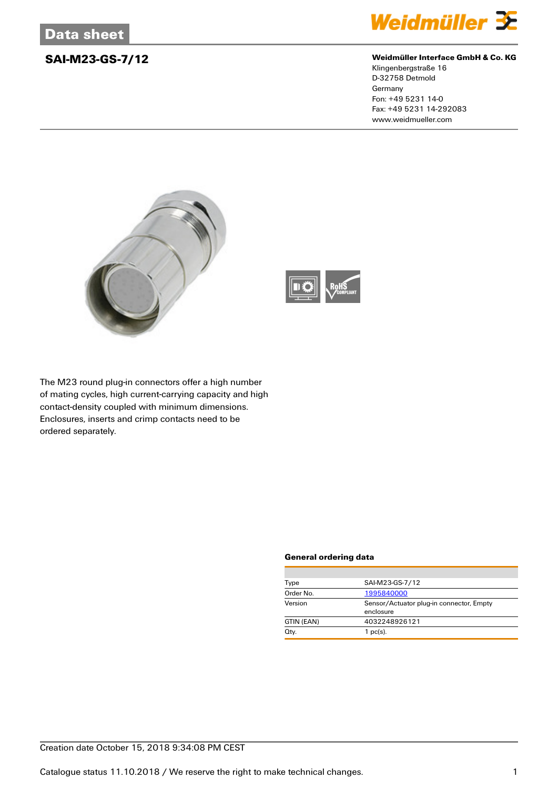

## **SAI-M23-GS-7/12 Weidmüller Interface GmbH & Co. KG**

Klingenbergstraße 16 D-32758 Detmold Germany Fon: +49 5231 14-0 Fax: +49 5231 14-292083 www.weidmueller.com





The M23 round plug-in connectors offer a high number of mating cycles, high current-carrying capacity and high contact-density coupled with minimum dimensions. Enclosures, inserts and crimp contacts need to be ordered separately.

### **General ordering data**

| Type       | SAI-M23-GS-7/12                                       |  |  |
|------------|-------------------------------------------------------|--|--|
| Order No.  | 1995840000                                            |  |  |
| Version    | Sensor/Actuator plug-in connector, Empty<br>enclosure |  |  |
| GTIN (EAN) | 4032248926121                                         |  |  |
| Qty.       | $1$ pc(s).                                            |  |  |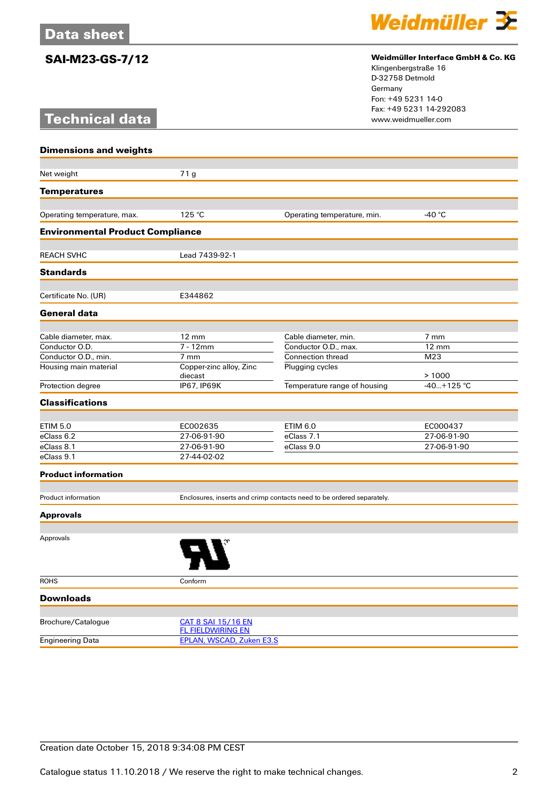# **Technical data**



## **SAI-M23-GS-7/12 Weidmüller Interface GmbH & Co. KG**

Klingenbergstraße 16 D-32758 Detmold Germany Fon: +49 5231 14-0 Fax: +49 5231 14-292083

| <b>Dimensions and weights</b>           |                                                                       |                              |                 |  |  |
|-----------------------------------------|-----------------------------------------------------------------------|------------------------------|-----------------|--|--|
| Net weight                              |                                                                       |                              |                 |  |  |
|                                         | 71 g                                                                  |                              |                 |  |  |
| <b>Temperatures</b>                     |                                                                       |                              |                 |  |  |
| Operating temperature, max.             | 125 °C                                                                | Operating temperature, min.  | -40 °C          |  |  |
| <b>Environmental Product Compliance</b> |                                                                       |                              |                 |  |  |
|                                         |                                                                       |                              |                 |  |  |
| <b>REACH SVHC</b>                       | Lead 7439-92-1                                                        |                              |                 |  |  |
| <b>Standards</b>                        |                                                                       |                              |                 |  |  |
| Certificate No. (UR)                    | E344862                                                               |                              |                 |  |  |
| <b>General data</b>                     |                                                                       |                              |                 |  |  |
|                                         |                                                                       |                              |                 |  |  |
| Cable diameter, max.                    | $12 \text{ mm}$                                                       | Cable diameter, min.         | $7 \text{ mm}$  |  |  |
| Conductor O.D.                          | $7 - 12$ mm                                                           | Conductor O.D., max.         | $12 \text{ mm}$ |  |  |
| Conductor O.D., min.                    | 7 mm                                                                  | <b>Connection thread</b>     | M23             |  |  |
| Housing main material                   | Copper-zinc alloy, Zinc<br>diecast                                    | Plugging cycles              | >1000           |  |  |
| Protection degree                       | IP67, IP69K                                                           | Temperature range of housing | $-40+125$ °C    |  |  |
| <b>Classifications</b>                  |                                                                       |                              |                 |  |  |
|                                         |                                                                       |                              |                 |  |  |
| <b>ETIM 5.0</b>                         | EC002635                                                              | <b>ETIM 6.0</b>              | EC000437        |  |  |
| eClass 6.2                              | 27-06-91-90                                                           | eClass 7.1                   | 27-06-91-90     |  |  |
| eClass 8.1                              | 27-06-91-90                                                           | eClass 9.0                   | 27-06-91-90     |  |  |
| eClass 9.1                              | 27-44-02-02                                                           |                              |                 |  |  |
| <b>Product information</b>              |                                                                       |                              |                 |  |  |
| Product information                     | Enclosures, inserts and crimp contacts need to be ordered separately. |                              |                 |  |  |
| <b>Approvals</b>                        |                                                                       |                              |                 |  |  |
|                                         |                                                                       |                              |                 |  |  |
| Approvals                               |                                                                       |                              |                 |  |  |
| <b>ROHS</b>                             | Conform                                                               |                              |                 |  |  |
| <b>Downloads</b>                        |                                                                       |                              |                 |  |  |
|                                         | CAT 8 SAI 15/16 EN                                                    |                              |                 |  |  |
| Brochure/Catalogue                      | <b>FL FIELDWIRING EN</b>                                              |                              |                 |  |  |

Engineering Data [EPLAN, WSCAD, Zuken E3.S](http://catalog.weidmueller.com/assets/LINK/CAE_EN.html)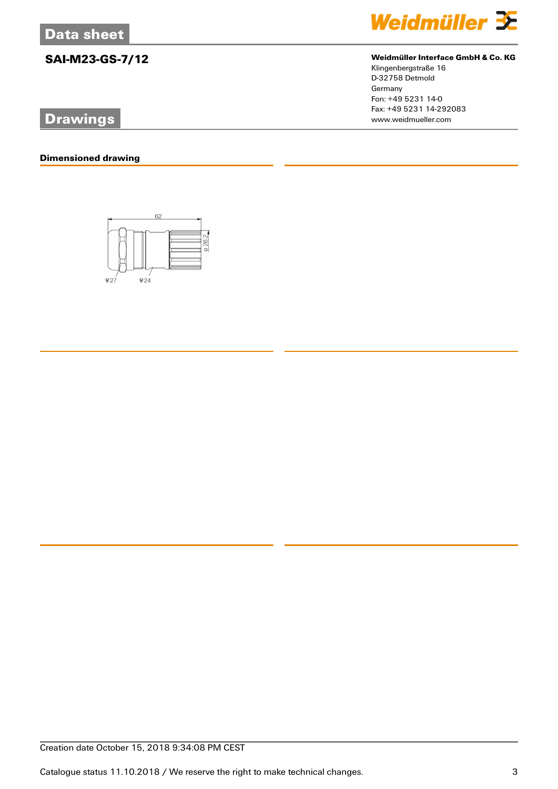# **Drawings**

## **Dimensioned drawing**





# **SAI-M23-GS-7/12 Weidmüller Interface GmbH & Co. KG**

Klingenbergstraße 16 D-32758 Detmold Germany Fon: +49 5231 14-0 Fax: +49 5231 14-292083